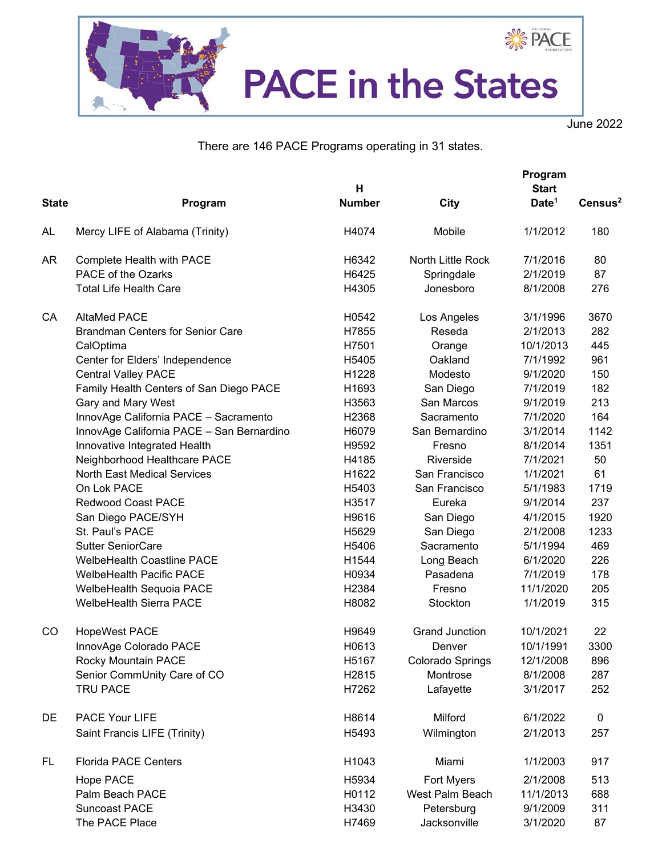

June 2022

There are 146 PACE Programs operating in 31 states.

|               |                                           | н             |                       | Program<br><b>Start</b> |                     |
|---------------|-------------------------------------------|---------------|-----------------------|-------------------------|---------------------|
| <b>State</b>  | Program                                   | <b>Number</b> | City                  | Date <sup>1</sup>       | Census <sup>2</sup> |
| AL            | Mercy LIFE of Alabama (Trinity)           | H4074         | Mobile                | 1/1/2012                | 180                 |
| AR            | Complete Health with PACE                 | H6342         | North Little Rock     | 7/1/2016                | 80                  |
|               | PACE of the Ozarks                        | H6425         | Springdale            | 2/1/2019                | 87                  |
|               | <b>Total Life Health Care</b>             | H4305         | Jonesboro             | 8/1/2008                | 276                 |
| CA            | <b>AltaMed PACE</b>                       | H0542         | Los Angeles           | 3/1/1996                | 3670                |
|               | <b>Brandman Centers for Senior Care</b>   | H7855         | Reseda                | 2/1/2013                | 282                 |
|               | CalOptima                                 | H7501         | Orange                | 10/1/2013               | 445                 |
|               | Center for Elders' Independence           | H5405         | Oakland               | 7/1/1992                | 961                 |
|               | <b>Central Valley PACE</b>                | H1228         | Modesto               | 9/1/2020                | 150                 |
|               | Family Health Centers of San Diego PACE   | H1693         | San Diego             | 7/1/2019                | 182                 |
|               | Gary and Mary West                        | H3563         | San Marcos            | 9/1/2019                | 213                 |
|               | InnovAge California PACE - Sacramento     | H2368         | Sacramento            | 7/1/2020                | 164                 |
|               | InnovAge California PACE - San Bernardino | H6079         | San Bernardino        | 3/1/2014                | 1142                |
|               | Innovative Integrated Health              | H9592         | Fresno                | 8/1/2014                | 1351                |
|               | Neighborhood Healthcare PACE              | H4185         | Riverside             | 7/1/2021                | 50                  |
|               | North East Medical Services               | H1622         | San Francisco         | 1/1/2021                | 61                  |
|               | On Lok PACE                               | H5403         | San Francisco         | 5/1/1983                | 1719                |
|               | <b>Redwood Coast PACE</b>                 | H3517         | Eureka                | 9/1/2014                | 237                 |
|               | San Diego PACE/SYH                        | H9616         | San Diego             | 4/1/2015                | 1920                |
|               | St. Paul's PACE                           | H5629         | San Diego             | 2/1/2008                | 1233                |
|               | <b>Sutter SeniorCare</b>                  | H5406         | Sacramento            | 5/1/1994                | 469                 |
|               | <b>WelbeHealth Coastline PACE</b>         | H1544         | Long Beach            | 6/1/2020                | 226                 |
|               | <b>WelbeHealth Pacific PACE</b>           | H0934         | Pasadena              | 7/1/2019                | 178                 |
|               | WelbeHealth Sequoia PACE                  | H2384         | Fresno                | 11/1/2020               | 205                 |
|               | <b>WelbeHealth Sierra PACE</b>            | H8082         | Stockton              | 1/1/2019                | 315                 |
| <sub>CO</sub> | <b>HopeWest PACE</b>                      | H9649         | <b>Grand Junction</b> | 10/1/2021               | 22                  |
|               | InnovAge Colorado PACE                    | H0613         | Denver                | 10/1/1991               | 3300                |
|               | Rocky Mountain PACE                       | H5167         | Colorado Springs      | 12/1/2008               | 896                 |
|               | Senior CommUnity Care of CO               | H2815         | Montrose              | 8/1/2008                | 287                 |
|               | TRU PACE                                  | H7262         | Lafayette             | 3/1/2017                | 252                 |
| DE            | PACE Your LIFE                            | H8614         | Milford               | 6/1/2022                | $\mathbf 0$         |
|               | Saint Francis LIFE (Trinity)              | H5493         | Wilmington            | 2/1/2013                | 257                 |
| FL            | <b>Florida PACE Centers</b>               | H1043         | Miami                 | 1/1/2003                | 917                 |
|               | Hope PACE                                 | H5934         | Fort Myers            | 2/1/2008                | 513                 |
|               | Palm Beach PACE                           | H0112         | West Palm Beach       | 11/1/2013               | 688                 |
|               | Suncoast PACE                             | H3430         | Petersburg            | 9/1/2009                | 311                 |
|               | The PACE Place                            | H7469         | Jacksonville          | 3/1/2020                | 87                  |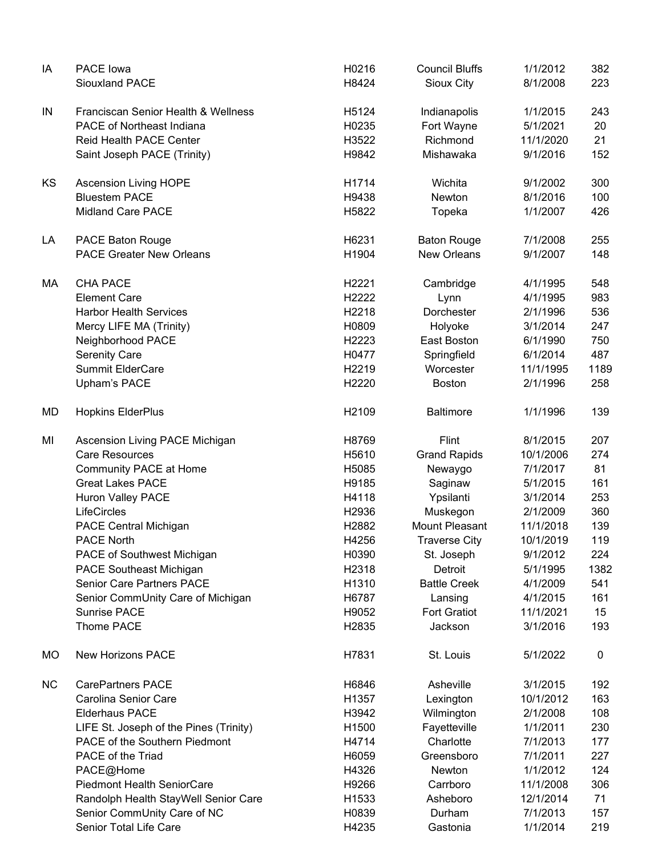| IA        | PACE lowa<br><b>Siouxland PACE</b>     | H0216<br>H8424 | <b>Council Bluffs</b><br>Sioux City | 1/1/2012<br>8/1/2008 | 382<br>223 |
|-----------|----------------------------------------|----------------|-------------------------------------|----------------------|------------|
| IN        | Franciscan Senior Health & Wellness    | H5124          | Indianapolis                        | 1/1/2015             | 243        |
|           | <b>PACE of Northeast Indiana</b>       | H0235          | Fort Wayne                          | 5/1/2021             | 20         |
|           | Reid Health PACE Center                | H3522          | Richmond                            | 11/1/2020            | 21         |
|           |                                        |                |                                     |                      |            |
|           | Saint Joseph PACE (Trinity)            | H9842          | Mishawaka                           | 9/1/2016             | 152        |
| <b>KS</b> | <b>Ascension Living HOPE</b>           | H1714          | Wichita                             | 9/1/2002             | 300        |
|           | <b>Bluestem PACE</b>                   | H9438          | Newton                              | 8/1/2016             | 100        |
|           | <b>Midland Care PACE</b>               | H5822          | Topeka                              | 1/1/2007             | 426        |
| LA        | <b>PACE Baton Rouge</b>                | H6231          | <b>Baton Rouge</b>                  | 7/1/2008             | 255        |
|           | <b>PACE Greater New Orleans</b>        | H1904          | <b>New Orleans</b>                  | 9/1/2007             | 148        |
| МA        | <b>CHA PACE</b>                        | H2221          | Cambridge                           | 4/1/1995             | 548        |
|           | <b>Element Care</b>                    | H2222          | Lynn                                | 4/1/1995             | 983        |
|           | <b>Harbor Health Services</b>          | H2218          | Dorchester                          | 2/1/1996             | 536        |
|           | Mercy LIFE MA (Trinity)                | H0809          | Holyoke                             | 3/1/2014             | 247        |
|           | Neighborhood PACE                      | H2223          | East Boston                         | 6/1/1990             | 750        |
|           | <b>Serenity Care</b>                   | H0477          | Springfield                         | 6/1/2014             | 487        |
|           | <b>Summit ElderCare</b>                | H2219          | Worcester                           | 11/1/1995            | 1189       |
|           | Upham's PACE                           | H2220          | <b>Boston</b>                       | 2/1/1996             | 258        |
| MD        | <b>Hopkins ElderPlus</b>               | H2109          | <b>Baltimore</b>                    | 1/1/1996             | 139        |
| MI        | Ascension Living PACE Michigan         | H8769          | Flint                               | 8/1/2015             | 207        |
|           | <b>Care Resources</b>                  | H5610          | <b>Grand Rapids</b>                 | 10/1/2006            | 274        |
|           | Community PACE at Home                 | H5085          | Newaygo                             | 7/1/2017             | 81         |
|           | <b>Great Lakes PACE</b>                | H9185          | Saginaw                             | 5/1/2015             | 161        |
|           | Huron Valley PACE                      | H4118          | Ypsilanti                           | 3/1/2014             | 253        |
|           | LifeCircles                            | H2936          | Muskegon                            | 2/1/2009             | 360        |
|           | PACE Central Michigan                  | H2882          | Mount Pleasant                      | 11/1/2018            | 139        |
|           | <b>PACE North</b>                      | H4256          | Traverse City                       | 10/1/2019            | 119        |
|           | PACE of Southwest Michigan             | H0390          | St. Joseph                          | 9/1/2012             | 224        |
|           | <b>PACE Southeast Michigan</b>         | H2318          | Detroit                             | 5/1/1995             | 1382       |
|           | <b>Senior Care Partners PACE</b>       | H1310          | <b>Battle Creek</b>                 | 4/1/2009             | 541        |
|           | Senior CommUnity Care of Michigan      | H6787          | Lansing                             | 4/1/2015             | 161        |
|           | <b>Sunrise PACE</b>                    | H9052          | <b>Fort Gratiot</b>                 | 11/1/2021            | 15         |
|           | Thome PACE                             | H2835          | Jackson                             | 3/1/2016             | 193        |
| MO        | <b>New Horizons PACE</b>               | H7831          | St. Louis                           | 5/1/2022             | 0          |
| <b>NC</b> | <b>CarePartners PACE</b>               | H6846          | Asheville                           | 3/1/2015             | 192        |
|           | Carolina Senior Care                   | H1357          | Lexington                           | 10/1/2012            | 163        |
|           | <b>Elderhaus PACE</b>                  | H3942          | Wilmington                          | 2/1/2008             | 108        |
|           | LIFE St. Joseph of the Pines (Trinity) | H1500          | Fayetteville                        | 1/1/2011             | 230        |
|           | PACE of the Southern Piedmont          | H4714          | Charlotte                           | 7/1/2013             | 177        |
|           | PACE of the Triad                      | H6059          | Greensboro                          | 7/1/2011             | 227        |
|           | PACE@Home                              | H4326          | Newton                              | 1/1/2012             | 124        |
|           | <b>Piedmont Health SeniorCare</b>      | H9266          | Carrboro                            | 11/1/2008            | 306        |
|           | Randolph Health StayWell Senior Care   | H1533          | Asheboro                            | 12/1/2014            | 71         |
|           | Senior CommUnity Care of NC            | H0839          | Durham                              | 7/1/2013             | 157        |
|           | Senior Total Life Care                 | H4235          | Gastonia                            | 1/1/2014             | 219        |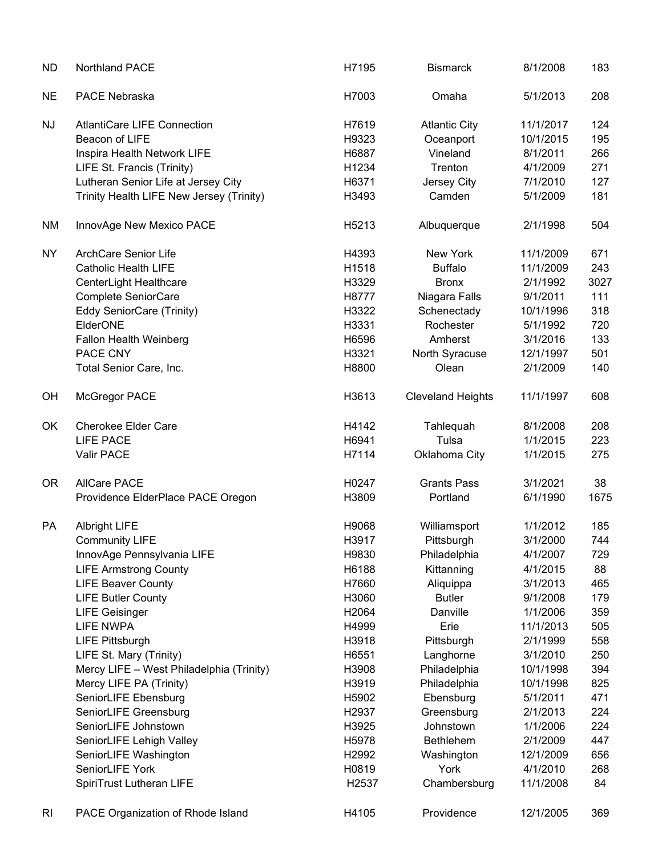| <b>ND</b> | Northland PACE                           | H7195             | <b>Bismarck</b>          | 8/1/2008  | 183  |
|-----------|------------------------------------------|-------------------|--------------------------|-----------|------|
| <b>NE</b> | PACE Nebraska                            | H7003             | Omaha                    | 5/1/2013  | 208  |
| <b>NJ</b> | <b>AtlantiCare LIFE Connection</b>       | H7619             | <b>Atlantic City</b>     | 11/1/2017 | 124  |
|           | Beacon of LIFE                           | H9323             | Oceanport                | 10/1/2015 | 195  |
|           | Inspira Health Network LIFE              | H6887             | Vineland                 | 8/1/2011  | 266  |
|           | LIFE St. Francis (Trinity)               | H1234             | Trenton                  | 4/1/2009  | 271  |
|           | Lutheran Senior Life at Jersey City      | H6371             | Jersey City              | 7/1/2010  | 127  |
|           | Trinity Health LIFE New Jersey (Trinity) | H3493             | Camden                   | 5/1/2009  | 181  |
| NM        | InnovAge New Mexico PACE                 | H5213             | Albuquerque              | 2/1/1998  | 504  |
| <b>NY</b> | <b>ArchCare Senior Life</b>              | H4393             | New York                 | 11/1/2009 | 671  |
|           | Catholic Health LIFE                     | H1518             | <b>Buffalo</b>           | 11/1/2009 | 243  |
|           | CenterLight Healthcare                   | H3329             | <b>Bronx</b>             | 2/1/1992  | 3027 |
|           | Complete SeniorCare                      | H8777             | Niagara Falls            | 9/1/2011  | 111  |
|           | Eddy SeniorCare (Trinity)                | H3322             | Schenectady              | 10/1/1996 | 318  |
|           | ElderONE                                 | H3331             | Rochester                | 5/1/1992  | 720  |
|           | Fallon Health Weinberg                   | H6596             | Amherst                  | 3/1/2016  | 133  |
|           | PACE CNY                                 | H3321             | North Syracuse           | 12/1/1997 | 501  |
|           | Total Senior Care, Inc.                  | H8800             | Olean                    | 2/1/2009  | 140  |
| OH        | McGregor PACE                            | H3613             | <b>Cleveland Heights</b> | 11/1/1997 | 608  |
| OK        | <b>Cherokee Elder Care</b>               | H4142             | Tahlequah                | 8/1/2008  | 208  |
|           | <b>LIFE PACE</b>                         | H6941             | Tulsa                    | 1/1/2015  | 223  |
|           | Valir PACE                               | H7114             | Oklahoma City            | 1/1/2015  | 275  |
| 0R        | <b>AllCare PACE</b>                      | H0247             | <b>Grants Pass</b>       | 3/1/2021  | 38   |
|           | Providence ElderPlace PACE Oregon        | H3809             | Portland                 | 6/1/1990  | 1675 |
| PA        | <b>Albright LIFE</b>                     | H9068             | Williamsport             | 1/1/2012  | 185  |
|           | <b>Community LIFE</b>                    | H3917             | Pittsburgh               | 3/1/2000  | 744  |
|           | InnovAge Pennsylvania LIFE               | H9830             | Philadelphia             | 4/1/2007  | 729  |
|           | <b>LIFE Armstrong County</b>             | H6188             | Kittanning               | 4/1/2015  | 88   |
|           | <b>LIFE Beaver County</b>                | H7660             | Aliquippa                | 3/1/2013  | 465  |
|           | <b>LIFE Butler County</b>                | H3060             | <b>Butler</b>            | 9/1/2008  | 179  |
|           | <b>LIFE Geisinger</b>                    | H2064             | Danville                 | 1/1/2006  | 359  |
|           | <b>LIFE NWPA</b>                         | H4999             | Erie                     | 11/1/2013 | 505  |
|           | <b>LIFE Pittsburgh</b>                   | H3918             | Pittsburgh               | 2/1/1999  | 558  |
|           | LIFE St. Mary (Trinity)                  | H6551             | Langhorne                | 3/1/2010  | 250  |
|           | Mercy LIFE - West Philadelphia (Trinity) | H3908             | Philadelphia             | 10/1/1998 | 394  |
|           | Mercy LIFE PA (Trinity)                  | H3919             | Philadelphia             | 10/1/1998 | 825  |
|           | SeniorLIFE Ebensburg                     | H5902             | Ebensburg                | 5/1/2011  | 471  |
|           | SeniorLIFE Greensburg                    | H <sub>2937</sub> | Greensburg               | 2/1/2013  | 224  |
|           | SeniorLIFE Johnstown                     | H3925             | Johnstown                | 1/1/2006  | 224  |
|           | SeniorLIFE Lehigh Valley                 | H5978             | Bethlehem                | 2/1/2009  | 447  |
|           | SeniorLIFE Washington                    | H2992             | Washington               | 12/1/2009 | 656  |
|           | SeniorLIFE York                          | H0819             | York                     | 4/1/2010  | 268  |
|           | SpiriTrust Lutheran LIFE                 | H2537             | Chambersburg             | 11/1/2008 | 84   |
| RI        | PACE Organization of Rhode Island        | H4105             | Providence               | 12/1/2005 | 369  |